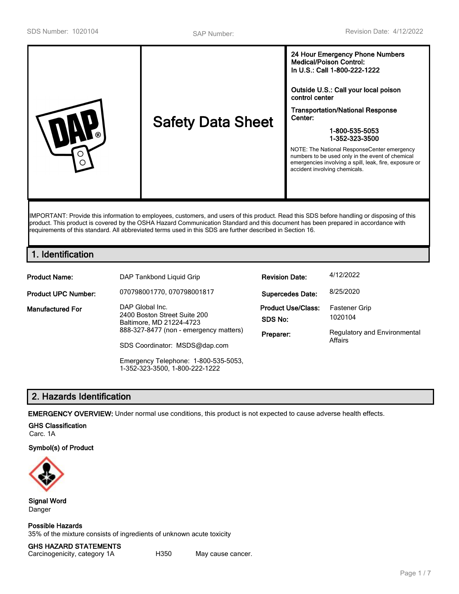| <b>Safety Data Sheet</b><br>ര<br>⊖ | <b>Medical/Poison Control:</b><br>In U.S.: Call 1-800-222-1222<br>Outside U.S.: Call your local poison<br>control center<br><b>Transportation/National Response</b><br>Center:<br>1-800-535-5053<br>1-352-323-3500<br>NOTE: The National ResponseCenter emergency<br>numbers to be used only in the event of chemical<br>emergencies involving a spill, leak, fire, exposure or<br>accident involving chemicals. |
|------------------------------------|------------------------------------------------------------------------------------------------------------------------------------------------------------------------------------------------------------------------------------------------------------------------------------------------------------------------------------------------------------------------------------------------------------------|
|------------------------------------|------------------------------------------------------------------------------------------------------------------------------------------------------------------------------------------------------------------------------------------------------------------------------------------------------------------------------------------------------------------------------------------------------------------|

IMPORTANT: Provide this information to employees, customers, and users of this product. Read this SDS before handling or disposing of this product. This product is covered by the OSHA Hazard Communication Standard and this document has been prepared in accordance with requirements of this standard. All abbreviated terms used in this SDS are further described in Section 16.

# **1. Identification**

| <b>Product Name:</b>       | DAP Tankbond Liquid Grip                                                                                              | <b>Revision Date:</b>     | 4/12/2022                           |
|----------------------------|-----------------------------------------------------------------------------------------------------------------------|---------------------------|-------------------------------------|
| <b>Product UPC Number:</b> | 070798001770, 070798001817                                                                                            | <b>Supercedes Date:</b>   | 8/25/2020                           |
| Manufactured For           | DAP Global Inc.<br>2400 Boston Street Suite 200<br>Baltimore, MD 21224-4723<br>888-327-8477 (non - emergency matters) | <b>Product Use/Class:</b> | <b>Fastener Grip</b>                |
|                            |                                                                                                                       | SDS No:                   | 1020104                             |
|                            |                                                                                                                       | Preparer:                 | <b>Regulatory and Environmental</b> |
|                            | SDS Coordinator: MSDS@dap.com                                                                                         |                           | Affairs                             |
|                            | Emergency Telephone: 1-800-535-5053,                                                                                  |                           |                                     |

# **2. Hazards Identification**

**EMERGENCY OVERVIEW:** Under normal use conditions, this product is not expected to cause adverse health effects.

1-352-323-3500, 1-800-222-1222

#### **GHS Classification**

Carc. 1A

**Symbol(s) of Product**



**Signal Word** Danger

**Possible Hazards** 35% of the mixture consists of ingredients of unknown acute toxicity

**GHS HAZARD STATEMENTS** Carcinogenicity, category 1A H350 May cause cancer.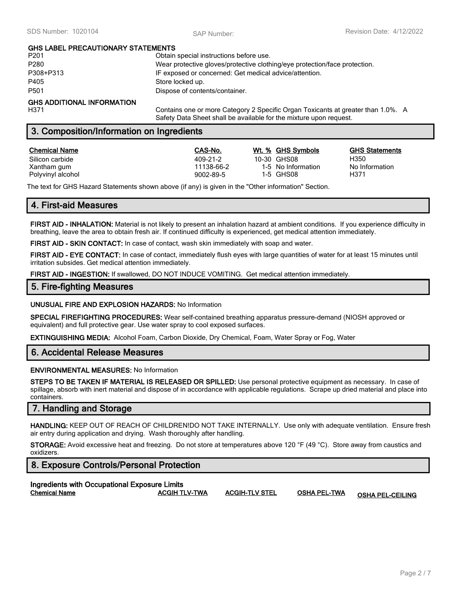# **GHS LABEL PRECAUTIONARY STATEMENTS**

| P <sub>201</sub>                  | Obtain special instructions before use.                                     |
|-----------------------------------|-----------------------------------------------------------------------------|
| P <sub>280</sub>                  | Wear protective gloves/protective clothing/eye protection/face protection.  |
| P308+P313                         | IF exposed or concerned: Get medical advice/attention.                      |
| P405                              | Store locked up.                                                            |
| P <sub>501</sub>                  | Dispose of contents/container.                                              |
| <b>GHS ADDITIONAL INFORMATION</b> |                                                                             |
| 11074                             | Cantaine ann an mars Catanan (2 Chaoilis Cream Taulaanta at suastanthan 1 C |

H371 Contains one or more Category 2 Specific Organ Toxicants at greater than 1.0%. A Safety Data Sheet shall be available for the mixture upon request.

# **3. Composition/Information on Ingredients**

#### **Chemical Name CAS-No. Wt. % GHS Symbols GHS Statements**

Polyvinyl alcohol 11-5 GHS08 1-5 GHS08 H3711 Magnetic Muslim Control 1-5 GHS08

Silicon carbide 409-21-2 10-30 GHS08 H350 Xantham gum 11138-66-2 11138-66-2 115 No Information No Information<br>Polyvinyl alcohol 11138-66-2 11-5 GHS08 11-5 CHS08 1371

The text for GHS Hazard Statements shown above (if any) is given in the "Other information" Section.

# **4. First-aid Measures**

**FIRST AID - INHALATION:** Material is not likely to present an inhalation hazard at ambient conditions. If you experience difficulty in breathing, leave the area to obtain fresh air. If continued difficulty is experienced, get medical attention immediately.

**FIRST AID - SKIN CONTACT:** In case of contact, wash skin immediately with soap and water.

**FIRST AID - EYE CONTACT:** In case of contact, immediately flush eyes with large quantities of water for at least 15 minutes until irritation subsides. Get medical attention immediately.

**FIRST AID - INGESTION:** If swallowed, DO NOT INDUCE VOMITING. Get medical attention immediately.

## **5. Fire-fighting Measures**

**UNUSUAL FIRE AND EXPLOSION HAZARDS:** No Information

**SPECIAL FIREFIGHTING PROCEDURES:** Wear self-contained breathing apparatus pressure-demand (NIOSH approved or equivalent) and full protective gear. Use water spray to cool exposed surfaces.

**EXTINGUISHING MEDIA:** Alcohol Foam, Carbon Dioxide, Dry Chemical, Foam, Water Spray or Fog, Water

### **6. Accidental Release Measures**

#### **ENVIRONMENTAL MEASURES:** No Information

**STEPS TO BE TAKEN IF MATERIAL IS RELEASED OR SPILLED:** Use personal protective equipment as necessary. In case of spillage, absorb with inert material and dispose of in accordance with applicable regulations. Scrape up dried material and place into containers.

### **7. Handling and Storage**

**HANDLING:** KEEP OUT OF REACH OF CHILDREN!DO NOT TAKE INTERNALLY. Use only with adequate ventilation. Ensure fresh air entry during application and drying. Wash thoroughly after handling.

**STORAGE:** Avoid excessive heat and freezing. Do not store at temperatures above 120 °F (49 °C). Store away from caustics and oxidizers.

# **8. Exposure Controls/Personal Protection**

| Ingredients with Occupational Exposure Limits |                      |               |
|-----------------------------------------------|----------------------|---------------|
| <b>Chemical Name</b>                          | <b>ACGIH TLV-TWA</b> | <b>ACGIH-</b> |

**Chemical Name ACGIH TLV-TWA ACGIH-TLV STEL OSHA PEL-TWA OSHA PEL-CEILING**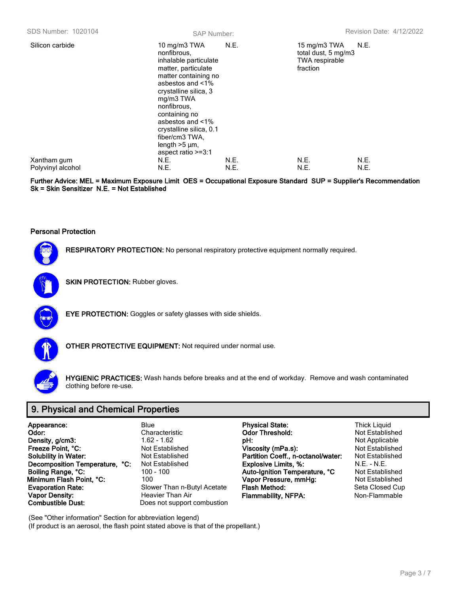| Silicon carbide                  | 10 mg/m3 TWA<br>nonfibrous.<br>inhalable particulate<br>matter, particulate<br>matter containing no<br>asbestos and <1%<br>crystalline silica, 3<br>mg/m3 TWA<br>nonfibrous.<br>containing no<br>asbestos and <1%<br>crystalline silica, 0.1<br>fiber/cm3 TWA.<br>length $>5 \mu m$ ,<br>aspect ratio >=3:1 | N.E.         | 15 mg/m3 TWA<br>total dust, 5 mg/m3<br><b>TWA respirable</b><br>fraction | N.E.         |
|----------------------------------|-------------------------------------------------------------------------------------------------------------------------------------------------------------------------------------------------------------------------------------------------------------------------------------------------------------|--------------|--------------------------------------------------------------------------|--------------|
| Xantham gum<br>Polyvinyl alcohol | N.E.<br>N.E.                                                                                                                                                                                                                                                                                                | N.E.<br>N.E. | N.E.<br>N.E.                                                             | N.E.<br>N.E. |
|                                  |                                                                                                                                                                                                                                                                                                             |              |                                                                          |              |

**Further Advice: MEL = Maximum Exposure Limit OES = Occupational Exposure Standard SUP = Supplier's Recommendation Sk = Skin Sensitizer N.E. = Not Established**

#### **Personal Protection**



**RESPIRATORY PROTECTION:** No personal respiratory protective equipment normally required.



**SKIN PROTECTION: Rubber gloves.** 



**EYE PROTECTION:** Goggles or safety glasses with side shields.



**OTHER PROTECTIVE EQUIPMENT:** Not required under normal use.



**HYGIENIC PRACTICES:** Wash hands before breaks and at the end of workday. Remove and wash contaminated clothing before re-use.

# **9. Physical and Chemical Properties**

| Appearance:                    | Blue        |
|--------------------------------|-------------|
| Odor:                          | Char        |
| Density, g/cm3:                | 1.62        |
| Freeze Point, °C:              | Not l       |
| <b>Solubility in Water:</b>    | Not l       |
| Decomposition Temperature, °C: | Not I       |
| Boiling Range, °C:             | $100 \cdot$ |
| Minimum Flash Point, °C:       | 100         |
| <b>Evaporation Rate:</b>       | Slow        |
| <b>Vapor Density:</b>          | Hea         |
| <b>Combustible Dust:</b>       | Does        |

**c** not support combustion

**Appearance:** Blue **Physical State:** Thick Liquid **Odor Threshold: PH:** The Same of the Same of the Same of the Same of the Same of the Same of the Same of the Same of the Same of the Same of the Same of the Same of the Same of the Not Applicable of the Not Established of the Same of the **Freeze Point, °C:** Not Established **Viscosity (mPa.s):** Not Established **Solubility in Water:** Not Established **Partition Coeff., n-octanol/water:** Not Established **Decomposition Temperature, °C:** Not Established **Explosive Limits, %:** N.E. - N.E. **Auto-Ignition Temperature, °C**<br>**Vapor Pressure, mmHg:** 100 - Not Established **Vapor Pressure, mmHg: Example 7** Evaporation Rate: **Flash Method:** Seta Closed Cup vier Than Air **Flammability, NFPA:** Non-Flammable

(See "Other information" Section for abbreviation legend)

(If product is an aerosol, the flash point stated above is that of the propellant.)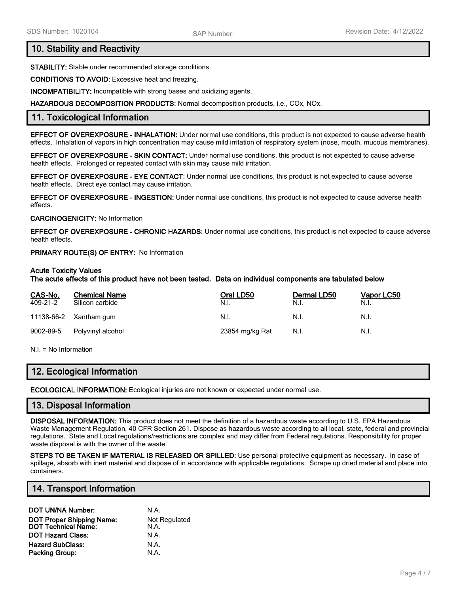## **10. Stability and Reactivity**

**STABILITY:** Stable under recommended storage conditions.

**CONDITIONS TO AVOID:** Excessive heat and freezing.

**INCOMPATIBILITY:** Incompatible with strong bases and oxidizing agents.

**HAZARDOUS DECOMPOSITION PRODUCTS:** Normal decomposition products, i.e., COx, NOx.

## **11. Toxicological Information**

**EFFECT OF OVEREXPOSURE - INHALATION:** Under normal use conditions, this product is not expected to cause adverse health effects. Inhalation of vapors in high concentration may cause mild irritation of respiratory system (nose, mouth, mucous membranes).

**EFFECT OF OVEREXPOSURE - SKIN CONTACT:** Under normal use conditions, this product is not expected to cause adverse health effects. Prolonged or repeated contact with skin may cause mild irritation.

**EFFECT OF OVEREXPOSURE - EYE CONTACT:** Under normal use conditions, this product is not expected to cause adverse health effects. Direct eye contact may cause irritation.

**EFFECT OF OVEREXPOSURE - INGESTION:** Under normal use conditions, this product is not expected to cause adverse health effects.

#### **CARCINOGENICITY:** No Information

**EFFECT OF OVEREXPOSURE - CHRONIC HAZARDS:** Under normal use conditions, this product is not expected to cause adverse health effects.

#### **PRIMARY ROUTE(S) OF ENTRY:** No Information

#### **Acute Toxicity Values**

**The acute effects of this product have not been tested. Data on individual components are tabulated below**

| CAS-No.<br>409-21-2 | <b>Chemical Name</b><br>Silicon carbide | Oral LD50<br>N.I. | Dermal LD50<br>N.I. | Vapor LC50<br>N.I. |
|---------------------|-----------------------------------------|-------------------|---------------------|--------------------|
|                     | 11138-66-2 Xantham gum                  | N.I.              | N.I.                | N.I.               |
| 9002-89-5           | Polyvinyl alcohol                       | 23854 mg/kg Rat   | N.I.                | N.I.               |

N.I. = No Information

### **12. Ecological Information**

**ECOLOGICAL INFORMATION:** Ecological injuries are not known or expected under normal use.

### **13. Disposal Information**

**DISPOSAL INFORMATION:** This product does not meet the definition of a hazardous waste according to U.S. EPA Hazardous Waste Management Regulation, 40 CFR Section 261. Dispose as hazardous waste according to all local, state, federal and provincial regulations. State and Local regulations/restrictions are complex and may differ from Federal regulations. Responsibility for proper waste disposal is with the owner of the waste.

**STEPS TO BE TAKEN IF MATERIAL IS RELEASED OR SPILLED:** Use personal protective equipment as necessary. In case of spillage, absorb with inert material and dispose of in accordance with applicable regulations. Scrape up dried material and place into containers.

### **14. Transport Information**

| DOT UN/NA Number:                                              | N.A.                         |
|----------------------------------------------------------------|------------------------------|
| <b>DOT Proper Shipping Name:</b><br><b>DOT Technical Name:</b> | <b>Not Regulated</b><br>N.A. |
| <b>DOT Hazard Class:</b>                                       | N.A.                         |
| <b>Hazard SubClass:</b>                                        | N.A.                         |
| Packing Group:                                                 | N.A.                         |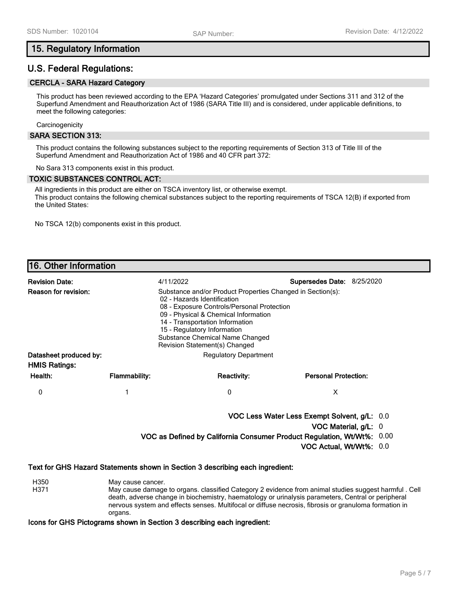# **15. Regulatory Information**

# **U.S. Federal Regulations:**

### **CERCLA - SARA Hazard Category**

This product has been reviewed according to the EPA 'Hazard Categories' promulgated under Sections 311 and 312 of the Superfund Amendment and Reauthorization Act of 1986 (SARA Title III) and is considered, under applicable definitions, to meet the following categories:

**Carcinogenicity** 

#### **SARA SECTION 313:**

This product contains the following substances subject to the reporting requirements of Section 313 of Title III of the Superfund Amendment and Reauthorization Act of 1986 and 40 CFR part 372:

No Sara 313 components exist in this product.

#### **TOXIC SUBSTANCES CONTROL ACT:**

All ingredients in this product are either on TSCA inventory list, or otherwise exempt. This product contains the following chemical substances subject to the reporting requirements of TSCA 12(B) if exported from the United States:

No TSCA 12(b) components exist in this product.

# **16. Other Information**

| <b>Revision Date:</b>       |                              | 4/11/2022                                                                                                                                                                                                                                                                                                             | Supersedes Date: 8/25/2020  |  |
|-----------------------------|------------------------------|-----------------------------------------------------------------------------------------------------------------------------------------------------------------------------------------------------------------------------------------------------------------------------------------------------------------------|-----------------------------|--|
| <b>Reason for revision:</b> |                              | Substance and/or Product Properties Changed in Section(s):<br>02 - Hazards Identification<br>08 - Exposure Controls/Personal Protection<br>09 - Physical & Chemical Information<br>14 - Transportation Information<br>15 - Regulatory Information<br>Substance Chemical Name Changed<br>Revision Statement(s) Changed |                             |  |
| Datasheet produced by:      | <b>Regulatory Department</b> |                                                                                                                                                                                                                                                                                                                       |                             |  |
| <b>HMIS Ratings:</b>        |                              |                                                                                                                                                                                                                                                                                                                       |                             |  |
| Health:                     | <b>Flammability:</b>         | <b>Reactivity:</b>                                                                                                                                                                                                                                                                                                    | <b>Personal Protection:</b> |  |
| 0                           |                              | 0                                                                                                                                                                                                                                                                                                                     | X                           |  |
|                             |                              | VOC Less Water Less Exempt Solvent, g/L: 0.0                                                                                                                                                                                                                                                                          |                             |  |

**VOC Material, g/L:** 0

**VOC as Defined by California Consumer Product Regulation, Wt/Wt%:** 0.00

**VOC Actual, Wt/Wt%:** 0.0

#### **Text for GHS Hazard Statements shown in Section 3 describing each ingredient:**

- H350 May cause cancer.
- H371 May cause damage to organs. classified Category 2 evidence from animal studies suggest harmful . Cell death, adverse change in biochemistry, haematology or urinalysis parameters, Central or peripheral nervous system and effects senses. Multifocal or diffuse necrosis, fibrosis or granuloma formation in organs.

**Icons for GHS Pictograms shown in Section 3 describing each ingredient:**